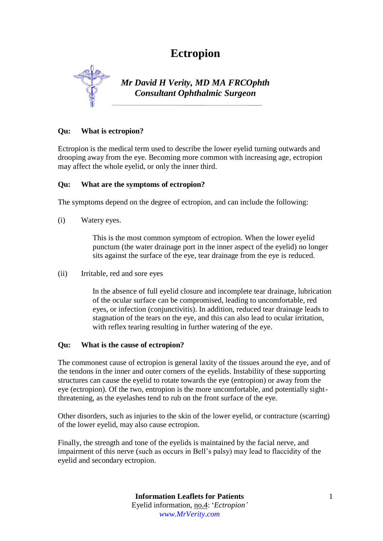# **Ectropion**



*Mr David H Verity, MD MA FRCOphth Consultant Ophthalmic Surgeon*

## **Qu: What is ectropion?**

Ectropion is the medical term used to describe the lower eyelid turning outwards and drooping away from the eye. Becoming more common with increasing age, ectropion may affect the whole eyelid, or only the inner third.

#### **Qu: What are the symptoms of ectropion?**

The symptoms depend on the degree of ectropion, and can include the following:

(i) Watery eyes.

This is the most common symptom of ectropion. When the lower eyelid punctum (the water drainage port in the inner aspect of the eyelid) no longer sits against the surface of the eye, tear drainage from the eye is reduced.

(ii) Irritable, red and sore eyes

In the absence of full eyelid closure and incomplete tear drainage, lubrication of the ocular surface can be compromised, leading to uncomfortable, red eyes, or infection (conjunctivitis). In addition, reduced tear drainage leads to stagnation of the tears on the eye, and this can also lead to ocular irritation, with reflex tearing resulting in further watering of the eye.

#### **Qu: What is the cause of ectropion?**

The commonest cause of ectropion is general laxity of the tissues around the eye, and of the tendons in the inner and outer corners of the eyelids. Instability of these supporting structures can cause the eyelid to rotate towards the eye (entropion) or away from the eye (ectropion). Of the two, entropion is the more uncomfortable, and potentially sightthreatening, as the eyelashes tend to rub on the front surface of the eye.

Other disorders, such as injuries to the skin of the lower eyelid, or contracture (scarring) of the lower eyelid, may also cause ectropion.

Finally, the strength and tone of the eyelids is maintained by the facial nerve, and impairment of this nerve (such as occurs in Bell's palsy) may lead to flaccidity of the eyelid and secondary ectropion.